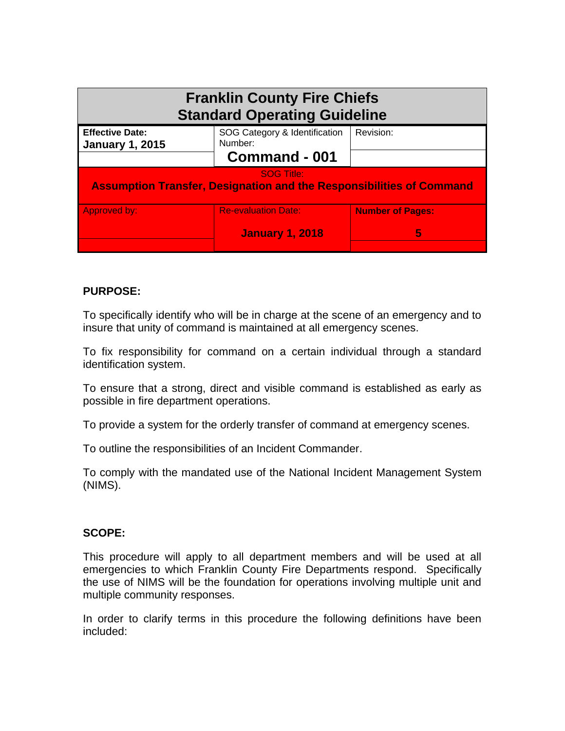| <b>Franklin County Fire Chiefs</b><br><b>Standard Operating Guideline</b>                        |                                                           |                              |
|--------------------------------------------------------------------------------------------------|-----------------------------------------------------------|------------------------------|
| <b>Effective Date:</b><br><b>January 1, 2015</b>                                                 | SOG Category & Identification<br>Number:<br>Command - 001 | Revision:                    |
| <b>SOG Title:</b><br><b>Assumption Transfer, Designation and the Responsibilities of Command</b> |                                                           |                              |
| <b>Approved by:</b>                                                                              | <b>Re-evaluation Date:</b><br><b>January 1, 2018</b>      | <b>Number of Pages:</b><br>5 |

# **PURPOSE:**

To specifically identify who will be in charge at the scene of an emergency and to insure that unity of command is maintained at all emergency scenes.

To fix responsibility for command on a certain individual through a standard identification system.

To ensure that a strong, direct and visible command is established as early as possible in fire department operations.

To provide a system for the orderly transfer of command at emergency scenes.

To outline the responsibilities of an Incident Commander.

To comply with the mandated use of the National Incident Management System (NIMS).

## **SCOPE:**

This procedure will apply to all department members and will be used at all emergencies to which Franklin County Fire Departments respond. Specifically the use of NIMS will be the foundation for operations involving multiple unit and multiple community responses.

In order to clarify terms in this procedure the following definitions have been included: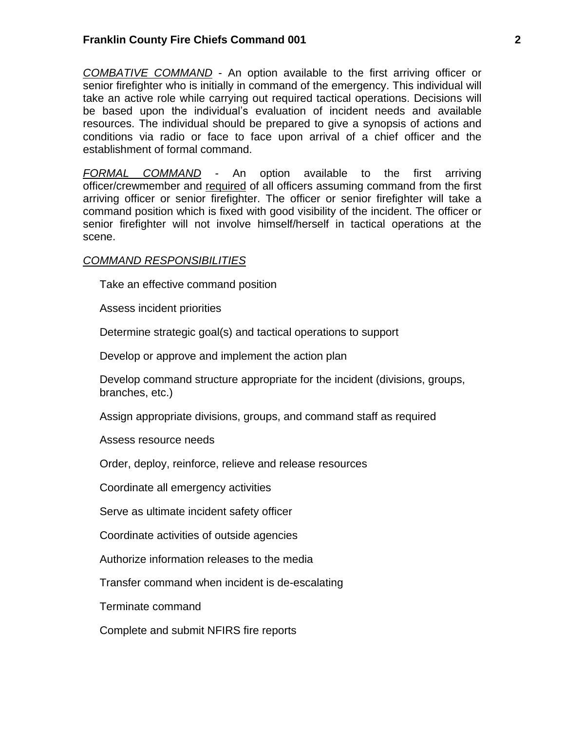*COMBATIVE COMMAND* - An option available to the first arriving officer or senior firefighter who is initially in command of the emergency. This individual will take an active role while carrying out required tactical operations. Decisions will be based upon the individual's evaluation of incident needs and available resources. The individual should be prepared to give a synopsis of actions and conditions via radio or face to face upon arrival of a chief officer and the establishment of formal command.

*FORMAL COMMAND* - An option available to the first arriving officer/crewmember and required of all officers assuming command from the first arriving officer or senior firefighter. The officer or senior firefighter will take a command position which is fixed with good visibility of the incident. The officer or senior firefighter will not involve himself/herself in tactical operations at the scene.

### *COMMAND RESPONSIBILITIES*

Take an effective command position

Assess incident priorities

Determine strategic goal(s) and tactical operations to support

Develop or approve and implement the action plan

Develop command structure appropriate for the incident (divisions, groups, branches, etc.)

Assign appropriate divisions, groups, and command staff as required

Assess resource needs

Order, deploy, reinforce, relieve and release resources

Coordinate all emergency activities

Serve as ultimate incident safety officer

Coordinate activities of outside agencies

Authorize information releases to the media

Transfer command when incident is de-escalating

Terminate command

Complete and submit NFIRS fire reports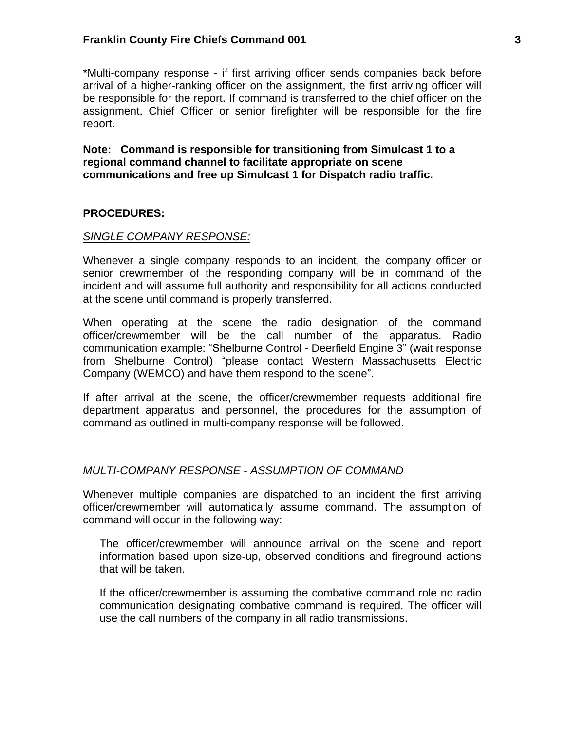### **Franklin County Fire Chiefs Command 001 3**

\*Multi-company response - if first arriving officer sends companies back before arrival of a higher-ranking officer on the assignment, the first arriving officer will be responsible for the report. If command is transferred to the chief officer on the assignment, Chief Officer or senior firefighter will be responsible for the fire report.

**Note: Command is responsible for transitioning from Simulcast 1 to a regional command channel to facilitate appropriate on scene communications and free up Simulcast 1 for Dispatch radio traffic.**

### **PROCEDURES:**

#### *SINGLE COMPANY RESPONSE:*

Whenever a single company responds to an incident, the company officer or senior crewmember of the responding company will be in command of the incident and will assume full authority and responsibility for all actions conducted at the scene until command is properly transferred.

When operating at the scene the radio designation of the command officer/crewmember will be the call number of the apparatus. Radio communication example: "Shelburne Control - Deerfield Engine 3" (wait response from Shelburne Control) "please contact Western Massachusetts Electric Company (WEMCO) and have them respond to the scene".

If after arrival at the scene, the officer/crewmember requests additional fire department apparatus and personnel, the procedures for the assumption of command as outlined in multi-company response will be followed.

### *MULTI-COMPANY RESPONSE - ASSUMPTION OF COMMAND*

Whenever multiple companies are dispatched to an incident the first arriving officer/crewmember will automatically assume command. The assumption of command will occur in the following way:

The officer/crewmember will announce arrival on the scene and report information based upon size-up, observed conditions and fireground actions that will be taken.

If the officer/crewmember is assuming the combative command role no radio communication designating combative command is required. The officer will use the call numbers of the company in all radio transmissions.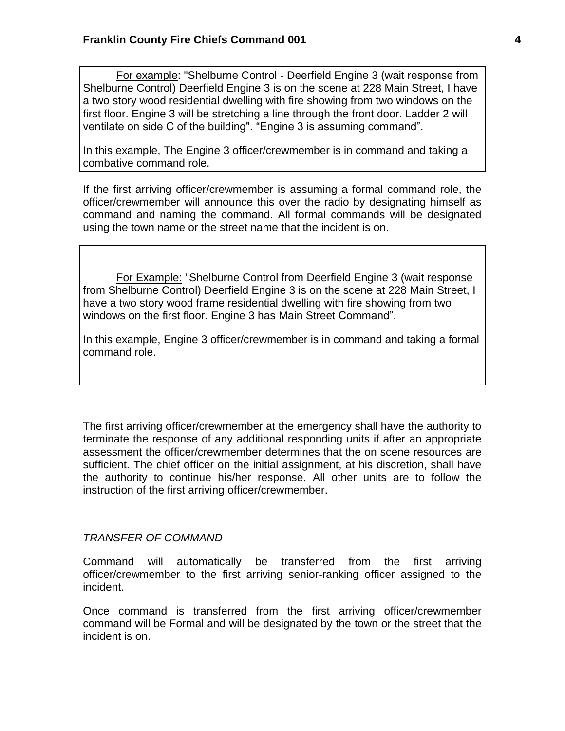For example: "Shelburne Control - Deerfield Engine 3 (wait response from Shelburne Control) Deerfield Engine 3 is on the scene at 228 Main Street, I have a two story wood residential dwelling with fire showing from two windows on the first floor. Engine 3 will be stretching a line through the front door. Ladder 2 will ventilate on side C of the building". "Engine 3 is assuming command".

In this example, The Engine 3 officer/crewmember is in command and taking a combative command role.

If the first arriving officer/crewmember is assuming a formal command role, the officer/crewmember will announce this over the radio by designating himself as command and naming the command. All formal commands will be designated using the town name or the street name that the incident is on.

For Example: "Shelburne Control from Deerfield Engine 3 (wait response from Shelburne Control) Deerfield Engine 3 is on the scene at 228 Main Street, I have a two story wood frame residential dwelling with fire showing from two windows on the first floor. Engine 3 has Main Street Command".

In this example, Engine 3 officer/crewmember is in command and taking a formal command role.

The first arriving officer/crewmember at the emergency shall have the authority to terminate the response of any additional responding units if after an appropriate assessment the officer/crewmember determines that the on scene resources are sufficient. The chief officer on the initial assignment, at his discretion, shall have the authority to continue his/her response. All other units are to follow the instruction of the first arriving officer/crewmember.

## *TRANSFER OF COMMAND*

Command will automatically be transferred from the first arriving officer/crewmember to the first arriving senior-ranking officer assigned to the incident.

Once command is transferred from the first arriving officer/crewmember command will be Formal and will be designated by the town or the street that the incident is on.